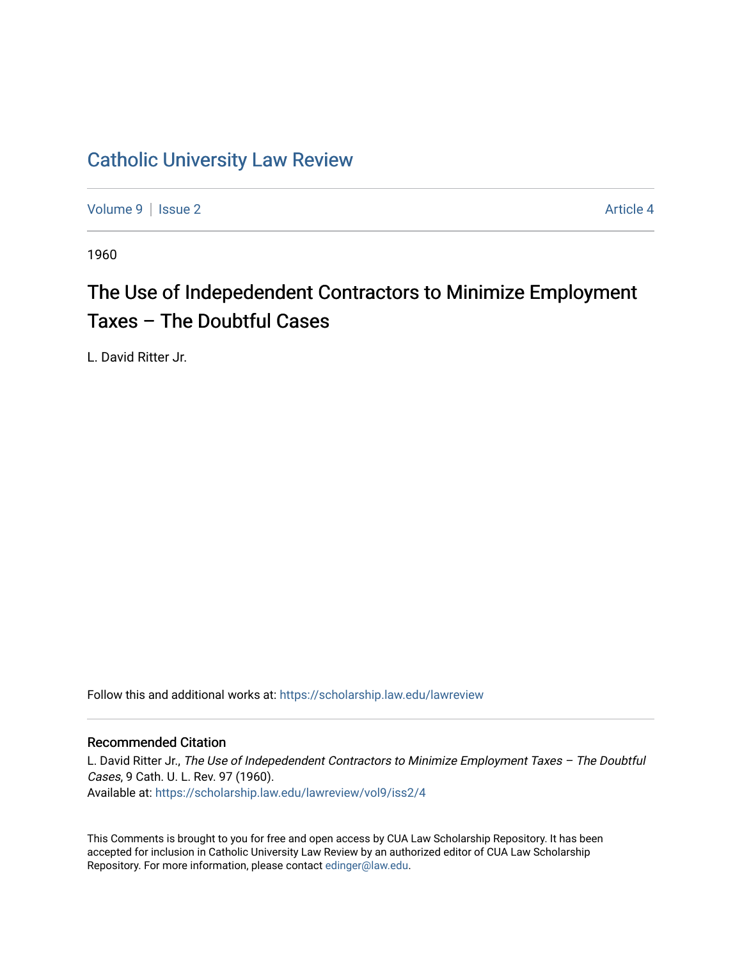## [Catholic University Law Review](https://scholarship.law.edu/lawreview)

[Volume 9](https://scholarship.law.edu/lawreview/vol9) | [Issue 2](https://scholarship.law.edu/lawreview/vol9/iss2) Article 4

1960

# The Use of Indepedendent Contractors to Minimize Employment Taxes – The Doubtful Cases

L. David Ritter Jr.

Follow this and additional works at: [https://scholarship.law.edu/lawreview](https://scholarship.law.edu/lawreview?utm_source=scholarship.law.edu%2Flawreview%2Fvol9%2Fiss2%2F4&utm_medium=PDF&utm_campaign=PDFCoverPages)

## Recommended Citation

L. David Ritter Jr., The Use of Indepedendent Contractors to Minimize Employment Taxes - The Doubtful Cases, 9 Cath. U. L. Rev. 97 (1960). Available at: [https://scholarship.law.edu/lawreview/vol9/iss2/4](https://scholarship.law.edu/lawreview/vol9/iss2/4?utm_source=scholarship.law.edu%2Flawreview%2Fvol9%2Fiss2%2F4&utm_medium=PDF&utm_campaign=PDFCoverPages) 

This Comments is brought to you for free and open access by CUA Law Scholarship Repository. It has been accepted for inclusion in Catholic University Law Review by an authorized editor of CUA Law Scholarship Repository. For more information, please contact [edinger@law.edu.](mailto:edinger@law.edu)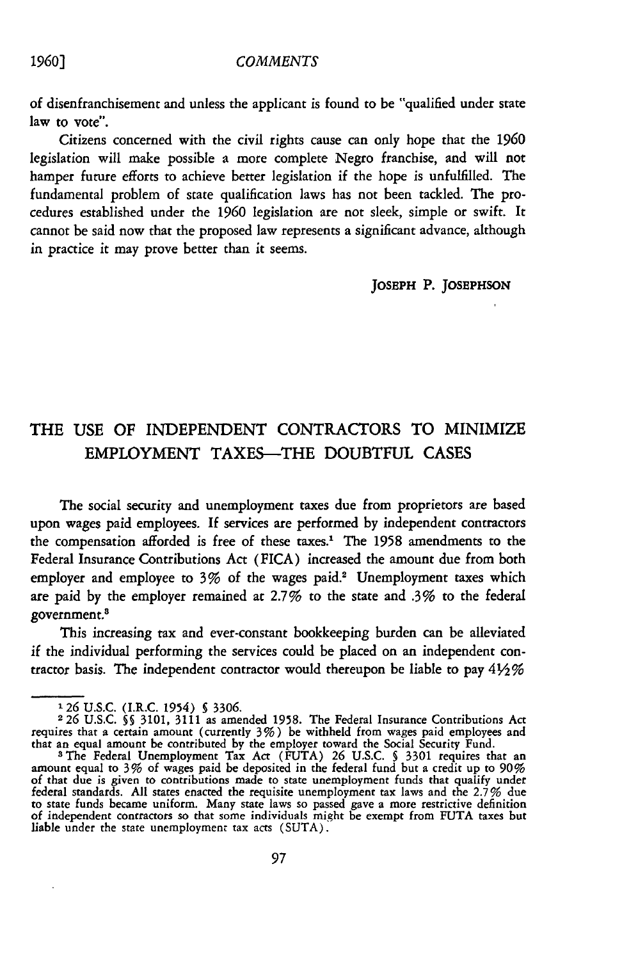#### *COMMENTS*

of disenfranchisement and unless the applicant is found to be "qualified under state law to vote".

Citizens concerned with the civil rights cause can only hope that the **1960** legislation will make possible a more complete Negro franchise, and will not hamper future efforts to achieve better legislation if the hope is unfulfilled. The fundamental problem of state qualification laws has not been tackled. The procedures established under the 1960 legislation are not sleek, simple or swift. It cannot be said now that the proposed law represents a significant advance, although in practice it may prove better than it seems.

**JOSEPH** P. **JOSEPHSON**

## THE **USE** OF **INDEPENDENT** CONTRACTORS TO MINIMIZE EMPLOYMENT **TAXES-THE DOUBTFUL CASES**

The social security and unemployment taxes due from proprietors are based upon wages paid employees. **If** services are performed by independent contractors the compensation afforded is free of these taxes.' The 1958 amendments to the Federal Insurance Contributions Act (FICA) increased the amount due from both employer and employee to 3% of the wages paid.<sup>2</sup> Unemployment taxes which are paid by the employer remained at 2.7% to the state and .3% to the federal government.<sup>8</sup>

This increasing tax and ever-constant bookkeeping burden can be alleviated if the individual performing the services could be placed on an independent contractor basis. The independent contractor would thereupon be liable to pay  $4\frac{1}{2}\%$ 

## *1960]*

**<sup>126</sup> U.S.C.** (I.R.C. 1954) **5** 3306.

**<sup>226</sup>** U.S.C. **§§** 3101, 3111 as amended 1958. The Federal Insurance Contributions Act requires that a certain amount (currently 3%) be withheld from wages paid employees and

that an equal amount be contributed by the employer toward the Social Security Fund.<br><sup>3</sup> The Federal Unemployment Tax Act (FUTA) 26 U.S.C. § 3301 requires that an amount equal to 3% of wages paid be deposited in the federa of that due is given to contributions made to state unemployment funds that qualify under federal standards. All states enacted the requisite unemployment tax laws and the 2.7% due to state funds became uniform. Many state laws so passed gave a more restrictive definition of independent contractors so that some individuals might be exempt from **FUTA** taxes but liable under the state unemployment tax acts (SUTA).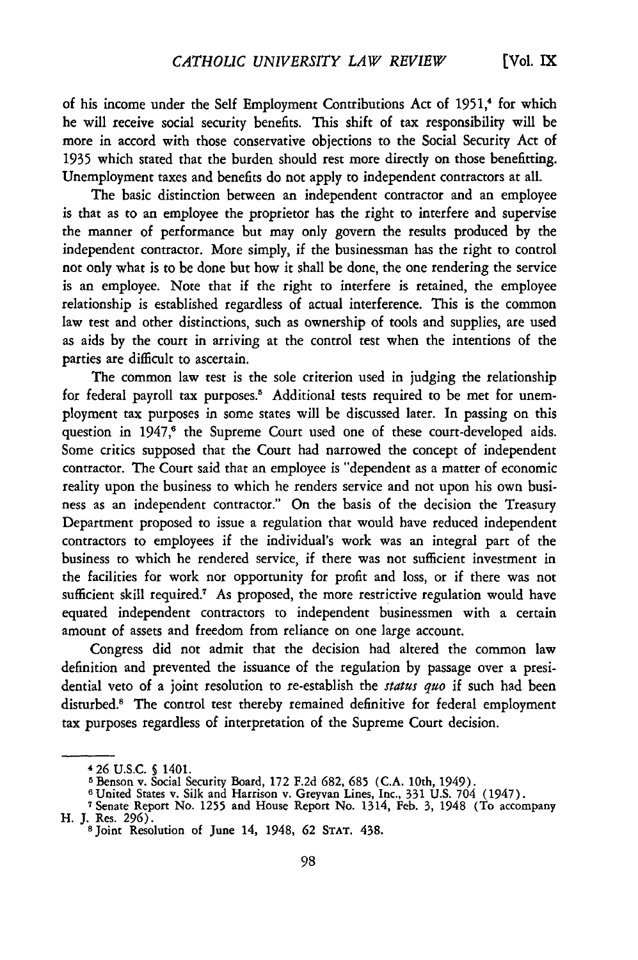of his income under the Self Employment Contributions Act of 1951,<sup>4</sup> for which he will receive social security benefits. This shift of tax responsibility will be more in accord with those conservative objections to the Social Security Act of 1935 which stated that the burden should rest more directly on those benefitting. Unemployment taxes and benefits do not apply to independent contractors at all.

The basic distinction between an independent contractor and an employee is that as to an employee the proprietor has the right to interfere and supervise the manner of performance but may only govern the results produced by the independent contractor. More simply, if the businessman has the right to control not only what is to be done but how it shall be done, the one rendering the service is an employee. Note that if the right to interfere is retained, the employee relationship is established regardless of actual interference. This is the common law test and other distinctions, such as ownership of tools and supplies, are used as aids by the court in arriving at the control test when the intentions of the parties are difficult to ascertain.

The common law test is the sole criterion used in judging the relationship for federal payroll tax purposes.<sup>5</sup> Additional tests required to be met for unemployment tax purposes in some states will be discussed later. In passing on this question in 1947,<sup>6</sup> the Supreme Court used one of these court-developed aids. Some critics supposed that the Court had narrowed the concept of independent contractor. The Court said that an employee is "dependent as a matter of economic reality upon the business to which he renders service and not upon his own business as an independent contractor." On the basis of the decision the Treasury Department proposed to issue a regulation that would have reduced independent contractors to employees if the individual's work was an integral part of the business to which he rendered service, if there was not sufficient investment in the facilities for work nor opportunity for profit and loss, or if there was not sufficient skill required.<sup>7</sup> As proposed, the more restrictive regulation would have equated independent contractors to independent businessmen with a certain amount of assets and freedom from reliance on one large account.

Congress did not admit that the decision had altered the common law definition and prevented the issuance of the regulation by passage over a presidential veto of a joint resolution to re-establish the *status quo* if such had been disturbed.<sup>8</sup> The control test thereby remained definitive for federal employment tax purposes regardless of interpretation of the Supreme Court decision.

**<sup>4 26</sup>** U.S.C. **5** 1401.

**<sup>5</sup>**Benson v. Social Security Board, 172 F.2d 682, **685** (C.A. 10th, 1949). **<sup>6</sup>**United States v. Silk and Harrison v. Greyvan Lines, Inc., 331 U.S. 704 (1947).

<sup>7</sup> Senate Report No. 1255 and House Report No. 1314, Feb. 3, 1948 (To accompany H. J. Res. **296).**

<sup>8</sup> Joint Resolution of June 14, 1948, **62 STAT.** 438.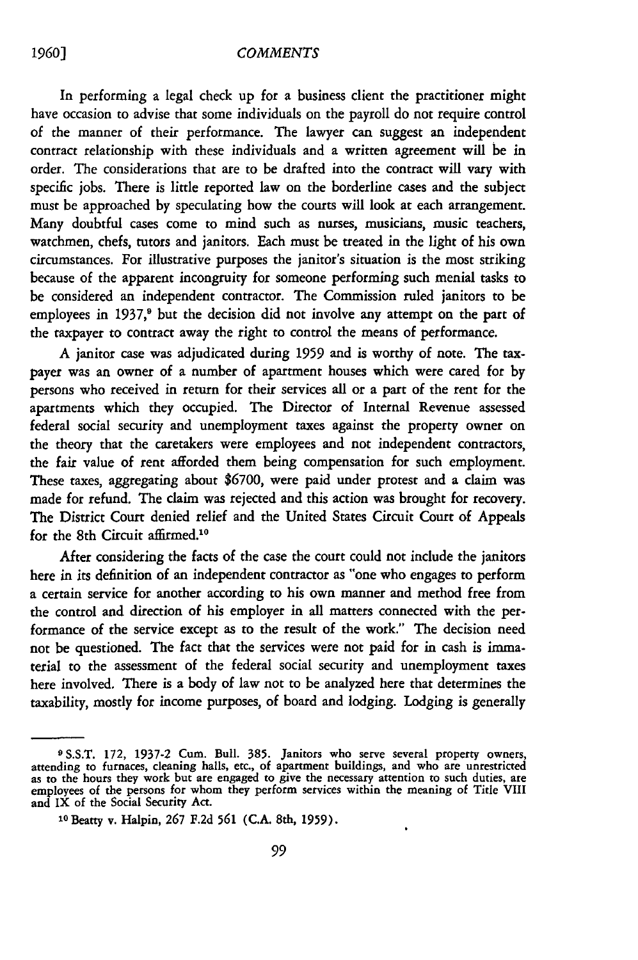#### *COMMENTS*

In performing a legal check up for a business client the practitioner might have occasion to advise that some individuals on the payroll do not require control of the manner of their performance. The lawyer can suggest an independent contract relationship with these individuals and a written agreement will be in order. The considerations that are to be drafted into the contract will vary with specific jobs. There is little reported law on the borderline cases and the subject must be approached by speculating how the courts will look at each arrangement. Many doubtful cases come to mind such as nurses, musicians, music teachers, watchmen, chefs, tutors and janitors. Each must be treated in the light of his own circumstances. For illustrative purposes the janitor's situation is the most striking because of the apparent incongruity for someone performing such menial tasks to be considered an independent contractor. The Commission ruled janitors to be employees in 1937, $9$  but the decision did not involve any attempt on the part of the taxpayer to contract away the right to control the means of performance.

A janitor case was adjudicated during 1959 and is worthy of note. The taxpayer was an owner of a number of apartment houses which were cared for by persons who received in return for their services all or a part of the rent for the apartments which they occupied. The Director of Internal Revenue assessed federal social security and unemployment taxes against the property owner on the theory that the caretakers were employees and not independent contractors, the fair value of rent afforded them being compensation for such employment. These taxes, aggregating about **\$6700,** were paid under protest and a claim was made for refund. The claim was rejected and this action was brought for recovery. The District Court denied relief and the United States Circuit Court of Appeals for the 8th Circuit affirmed.<sup>10</sup>

After considering the facts of the case the court could not include the janitors here in its definition of an independent contractor as "one who engages to perform a certain service for another according to his own manner and method free from the control and direction of his employer in all matters connected with the performance of the service except as to the result of the work." The decision need not be questioned. The fact that the services were not paid for in cash is immaterial to the assessment of the federal social security and unemployment taxes here involved. There is a body of law not to be analyzed here that determines the taxability, mostly for income purposes, of board and lodging. Lodging is generally

 $\bullet$ 

*1960]*

**<sup>9</sup>** S.S.T. 172, 1937-2 Cum. Bull. 385. Janitors who serve several property owners, attending to furnaces, cleaning halls, etc., of apartment buildings, and who are unrestricted as to the hours they work but are engaged to give the necessary attention to such duties, are employees of the persons for whom they perform services within the meaning of Title VIII and IX of the Social Security Act.

**<sup>10</sup>**Beatty v. Halpin, **267** F.2d **561** (C.A. 8th, **1959).**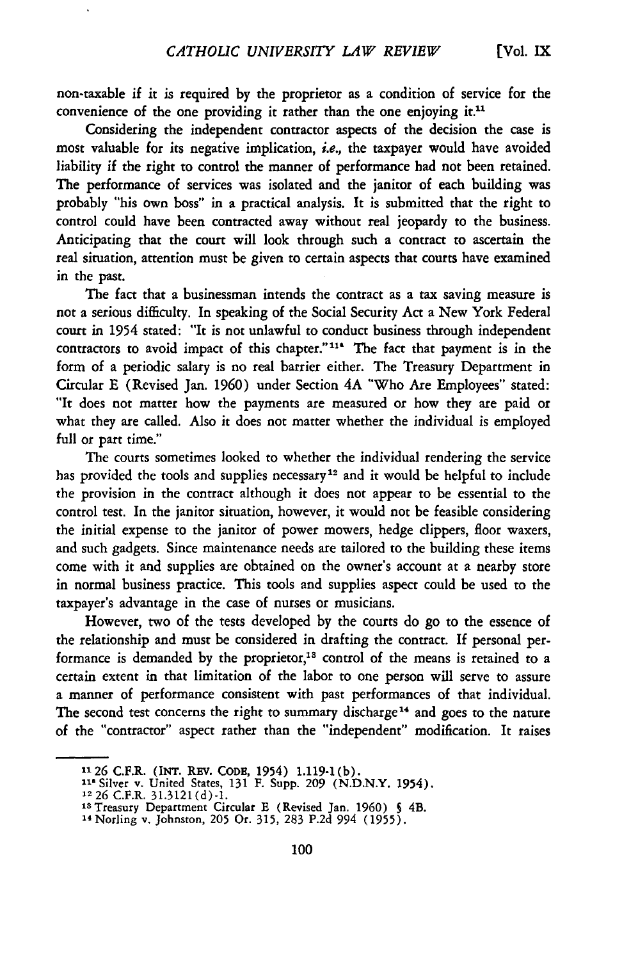non-taxable if it is required by the proprietor as a condition of service for the convenience of the one providing it rather than the one enjoying it.<sup>11</sup>

Considering the independent contractor aspects of the decision the case is most valuable for its negative implication, i.e., the taxpayer would have avoided liability if the right to control the manner of performance had not been retained. The performance of services was isolated and the janitor of each building was probably "his own boss" in a practical analysis. It is submitted that the right to control could have been contracted away without real jeopardy to the business. Anticipating that the court will look through such a contract to ascertain the real situation, attention must be given to certain aspects that courts have examined in the past.

The fact that a businessman intends the contract as a tax saving measure is not a serious difficulty. In speaking of the Social Security Act a New York Federal court in 1954 stated: "It is not unlawful to conduct business through independent contractors to avoid impact of this chapter."<sup>11</sup> The fact that payment is in the form of a periodic salary is no real barrier either. The Treasury Department in Circular E (Revised Jan. 1960) under Section 4A "Who Are Employees" stated: "It does not matter how the payments are measured or how they are paid or what they are called. Also it does not matter whether the individual is employed full or part time."

The courts sometimes looked to whether the individual rendering the service has provided the tools and supplies necessary<sup>12</sup> and it would be helpful to include the provision in the contract although it does not appear to be essential to the control test. In the janitor situation, however, it would not be feasible considering the initial expense to the janitor of power mowers, hedge clippers, floor waxers, and such gadgets. Since maintenance needs are tailored to the building these items come with it and supplies are obtained on the owner's account at a nearby store in normal business practice. This tools and supplies aspect could be used to the taxpayer's advantage in the case of nurses or musicians.

However, two of the tests developed by the courts do go to the essence of the relationship and must be considered in drafting the contract. If personal performance is demanded by the proprietor,<sup>13</sup> control of the means is retained to a certain extent in that limitation of the labor to one person will serve to assure a manner of performance consistent with past performances of that individual. The second test concerns the right to summary discharge<sup>14</sup> and goes to the nature of the "contractor" aspect rather than the "independent" modification. It raises

**<sup>&</sup>quot;126** C.F.R. **(INT.** REV. **CODE,** 1954) 1.119-1 (b). **I"** Silver v. United States, 131 F. Supp. **209** (N.D.N.Y. 1954).

**<sup>12</sup>26** C.F.R. 31.3121 (d)-1.

**<sup>&#</sup>x27;s** Treasury Department Circular E (Revised Jan. **1960) S** 4B. "4Norling v. Johnston, 205 Or. 315, 283 P.2d 994 (1955).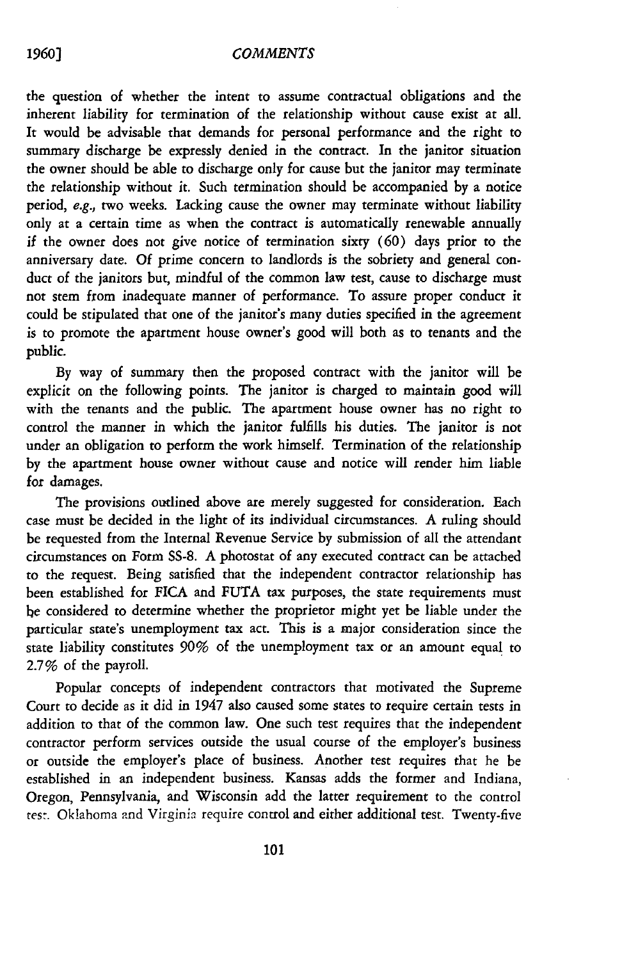### *COMMENTS*

the question of whether the intent to assume contractual obligations and the inherent liability for termination of the relationship without cause exist at all. It would be advisable that demands for personal performance and the right to summary discharge be expressly denied in the contract. In the janitor situation the owner should be able to discharge only for cause but the janitor may terminate the relationship without it. Such termination should be accompanied by a notice period, e.g., two weeks. Lacking cause the owner may terminate without liability only at a certain time as when the contract is automatically renewable annually if the owner does not give notice of termination sixty (60) days prior to the anniversary date. Of prime concern to landlords is the sobriety and general conduct of the janitors but, mindful of the common law test, cause to discharge must not stem from inadequate manner of performance. To assure proper conduct it could be stipulated that one of the janitor's many duties specified in the agreement is to promote the apartment house owner's good will both as to tenants and the public.

By way of summary then the proposed contract with the janitor will be explicit on the following points. The janitor is charged to maintain good will with the tenants and the public. The apartment house owner has no right to control the manner in which the janitor fulfills his duties. The janitor is not under an obligation to perform the work himself. Termination of the relationship by the apartment house owner without cause and notice will render him liable for damages.

The provisions outlined above are merely suggested for consideration. Each case must be decided in the light of its individual circumstances. A ruling should be requested from the Internal Revenue Service by submission of all the attendant circumstances on Form SS-8. A photostat of any executed contract can be attached to the request. Being satisfied that the independent contractor relationship has been established for FICA and FUTA tax purposes, the state requirements must be considered to determine whether the proprietor might yet be liable under the particular state's unemployment tax act. This is a major consideration since the state liability constitutes 90% of the unemployment tax or an amount equal to 2.7% of the payroll.

Popular concepts of independent contractors that motivated the Supreme Court to decide as it did in 1947 also caused some states to require certain tests in addition to that of the common law. One such test requires that the independent contractor perform services outside the usual course of the employer's business or outside the employer's place of business. Another test requires that he be established in an independent business. Kansas adds the former and Indiana, Oregon, Pennsylvania, and Wisconsin add the latter requirement to the control test. Oklahoma and Virginia require control and either additional test. Twenty-five